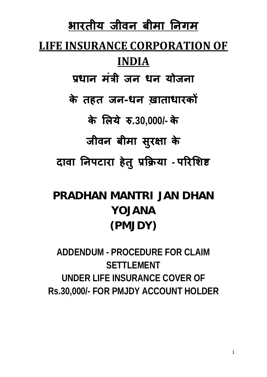**भारतीय जीवन बीमा �नगम LIFE INSURANCE CORPORATION OF INDIA प्रधान मंत्री जन धन योजना के तहत जन-धन ख़ाताधारक� के �लये रु.30,000/- के जीवन बीमा सुर�ा के दावा �नपटारा हेतु प्र�क्रया - प�र�श�**

## **PRADHAN MANTRI JAN DHAN YOJANA (PMJDY)**

**ADDENDUM - PROCEDURE FOR CLAIM SETTLEMENT UNDER LIFE INSURANCE COVER OF Rs.30,000/- FOR PMJDY ACCOUNT HOLDER**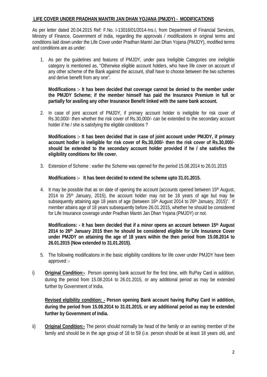## **LIFE COVER UNDER PRADHAN MANTRI JAN DHAN YOJANA (PMJDY) - MODIFICATIONS**

As per letter dated 20.04.2015 Ref: F.No. I-13016/01/2014-Ins.I, from Department of Financial Services, Ministry of Finance, Government of India, regarding the approvals / modifications in original terms and conditions laid down under the Life Cover under Pradhan Mantri Jan Dhan Yojana (PMJDY), modified terms and conditions are as under:

1. As per the guidelines and features of PMJDY, under para Ineligible Categories one ineligible category is mentioned as, "Otherwise eligible account holders, who have life cover on account of any other scheme of the Bank against the account, shall have to choose between the two schemes and derive benefit from any one".

**Modifications :- It has been decided that coverage cannot be denied to the member under the PMJDY Scheme; if the member himself has paid the Insurance Premium in full or partially for availing any other Insurance Benefit linked with the same bank account.**

2. In case of joint account of PMJDY, if primary account holder is ineligible for risk cover of Rs.30,000/- then whether the risk cover of Rs.30,000/- can be extended to the secondary account holder if he / she is satisfying the eligible conditions ?

**Modifications :- It has been decided that in case of joint account under PMJDY, if primary account hodler is ineligible for risk cover of Rs.30,000/- then the risk cover of Rs.30,000/ should be extended to the secondary account holder provided if he / she satisfies the eligibility conditions for life cover.**

3. Extension of Scheme : earlier the Scheme was opened for the period 15.08.2014 to 26.01.2015

**Modifications :- It has been decided to extend the scheme upto 31.01.2015.**

4. It may be possible that as on date of opening the account (accounts opened between 15<sup>th</sup> August,  $2014$  to  $25<sup>th</sup>$  January, 2015), the account holder may not be 18 years of age but may be subsequently attaining age 18 years of age (between 16<sup>th</sup> August 2014 to 26<sup>th</sup> January, 2015)". If member attains age of 18 years subsequently before 26.01.2015, whether he should be considered for Life Insurance coverage under Pradhan Mantri Jan Dhan Yojana (PMJDY) or not.

**Modifications: - It has been decided that if a minor opens an account between 15th August 2014 to 26th January 2015 then he should be considered eligible for Life Insurance Cover under PMJDY on attaining the age of 18 years within the then period from 15.08.2014 to 26.01.2015 (Now extended to 31.01.2015).**

- 5. The following modifications in the basic eligibility conditions for life cover under PMJDY have been approved :-
- i) **Original Condition:-** Person opening bank account for the first time, with RuPay Card in addition, during the period from 15.08.2014 to 26.01.2015, or any additional period as may be extended further by Government of India.

**Revised elgibility condition: - Person opening Bank account having RuPay Card in addition, during the period from 15.08.2014 to 31.01.2015, or any additional period as may be extended further by Government of India.**

ii) **Original Condition:-** The peron should normally be head of the family or an earning member of the family and should be in the age group of 18 to 59 (i.e. person should be at least 18 years old, and